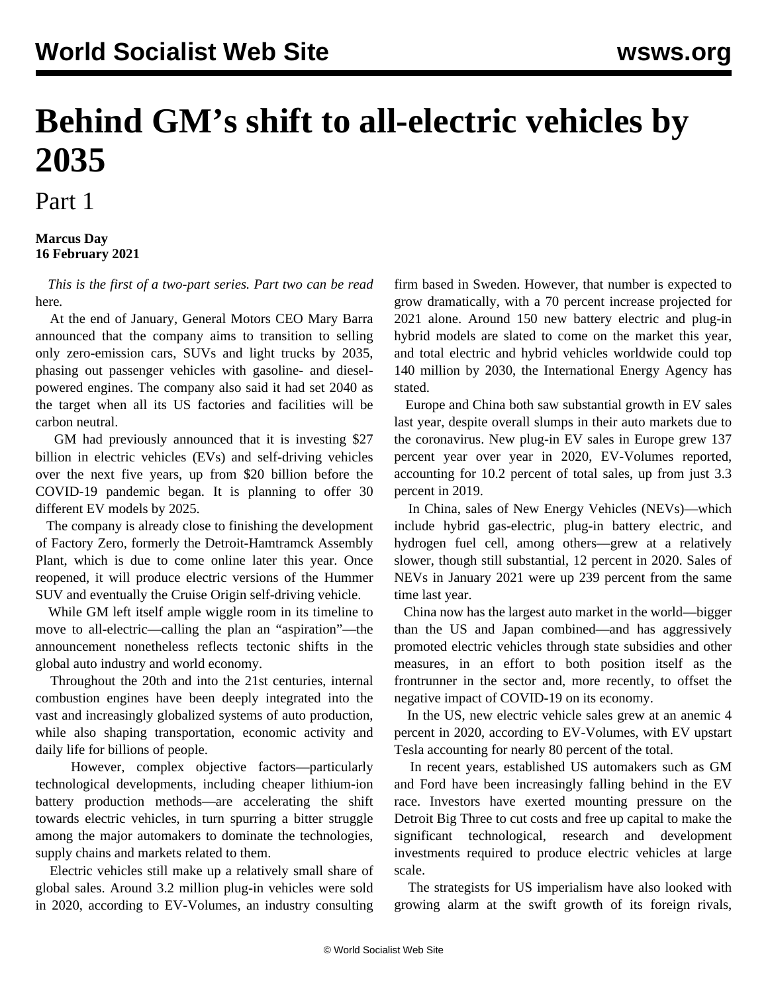## **Behind GM's shift to all-electric vehicles by 2035**

## Part 1

## **Marcus Day 16 February 2021**

 *This is the first of a two-part series. Part two can be read* [here](/en/articles/2021/02/17/gm2-f17.html)*.*

 At the end of January, General Motors CEO Mary Barra announced that the company aims to transition to selling only zero-emission cars, SUVs and light trucks by 2035, phasing out passenger vehicles with gasoline- and dieselpowered engines. The company also said it had set 2040 as the target when all its US factories and facilities will be carbon neutral.

 GM had previously announced that it is investing \$27 billion in electric vehicles (EVs) and self-driving vehicles over the next five years, up from \$20 billion before the COVID-19 pandemic began. It is planning to offer 30 different EV models by 2025.

 The company is already close to finishing the development of Factory Zero, formerly the Detroit-Hamtramck Assembly Plant, which is due to come online later this year. Once reopened, it will produce electric versions of the Hummer SUV and eventually the Cruise Origin self-driving vehicle.

 While GM left itself ample wiggle room in its timeline to move to all-electric—calling the plan an "aspiration"—the announcement nonetheless reflects tectonic shifts in the global auto industry and world economy.

 Throughout the 20th and into the 21st centuries, internal combustion engines have been deeply integrated into the vast and increasingly globalized systems of auto production, while also shaping transportation, economic activity and daily life for billions of people.

 However, complex objective factors—particularly technological developments, including cheaper lithium-ion battery production methods—are accelerating the shift towards electric vehicles, in turn spurring a bitter struggle among the major automakers to dominate the technologies, supply chains and markets related to them.

 Electric vehicles still make up a relatively small share of global sales. Around 3.2 million plug-in vehicles were sold in 2020, according to EV-Volumes, an industry consulting firm based in Sweden. However, that number is expected to grow dramatically, with a 70 percent increase projected for 2021 alone. Around 150 new battery electric and plug-in hybrid models are slated to come on the market this year, and total electric and hybrid vehicles worldwide could top 140 million by 2030, the International Energy Agency has stated.

 Europe and China both saw substantial growth in EV sales last year, despite overall slumps in their auto markets due to the coronavirus. New plug-in EV sales in Europe grew 137 percent year over year in 2020, EV-Volumes reported, accounting for 10.2 percent of total sales, up from just 3.3 percent in 2019.

 In China, sales of New Energy Vehicles (NEVs)—which include hybrid gas-electric, plug-in battery electric, and hydrogen fuel cell, among others—grew at a relatively slower, though still substantial, 12 percent in 2020. Sales of NEVs in January 2021 were up 239 percent from the same time last year.

 China now has the largest auto market in the world—bigger than the US and Japan combined—and has aggressively promoted electric vehicles through state subsidies and other measures, in an effort to both position itself as the frontrunner in the sector and, more recently, to offset the negative impact of COVID-19 on its economy.

 In the US, new electric vehicle sales grew at an anemic 4 percent in 2020, according to EV-Volumes, with EV upstart Tesla accounting for nearly 80 percent of the total.

 In recent years, established US automakers such as GM and Ford have been increasingly falling behind in the EV race. Investors have exerted mounting pressure on the Detroit Big Three to cut costs and free up capital to make the significant technological, research and development investments required to produce electric vehicles at large scale.

 The strategists for US imperialism have also looked with growing alarm at the swift growth of its foreign rivals,